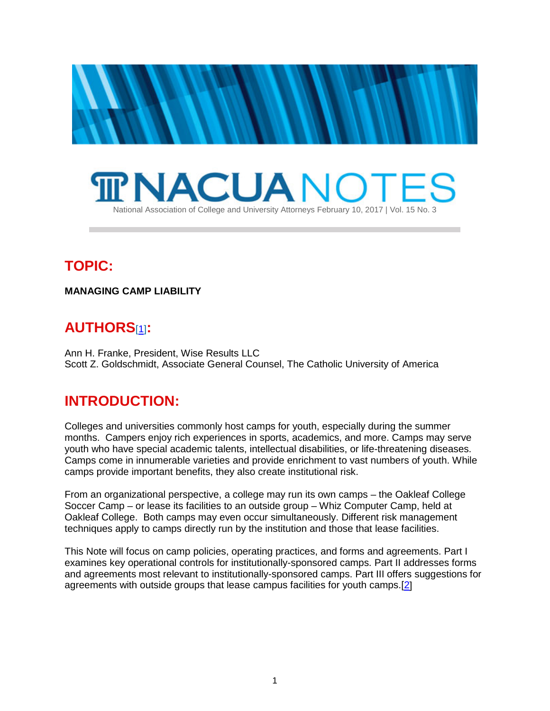



# **TOPIC:**

**MANAGING CAMP LIABILITY**

## <span id="page-0-0"></span>**AUTHORS**[\[1\]](#page-14-0)**:**

Ann H. Franke, President, Wise Results LLC Scott Z. Goldschmidt, Associate General Counsel, The Catholic University of America

## **INTRODUCTION:**

Colleges and universities commonly host camps for youth, especially during the summer months. Campers enjoy rich experiences in sports, academics, and more. Camps may serve youth who have special academic talents, intellectual disabilities, or life-threatening diseases. Camps come in innumerable varieties and provide enrichment to vast numbers of youth. While camps provide important benefits, they also create institutional risk.

From an organizational perspective, a college may run its own camps – the Oakleaf College Soccer Camp – or lease its facilities to an outside group – Whiz Computer Camp, held at Oakleaf College. Both camps may even occur simultaneously. Different risk management techniques apply to camps directly run by the institution and those that lease facilities.

<span id="page-0-1"></span>This Note will focus on camp policies, operating practices, and forms and agreements. Part I examines key operational controls for institutionally-sponsored camps. Part II addresses forms and agreements most relevant to institutionally-sponsored camps. Part III offers suggestions for agreements with outside groups that lease campus facilities for youth camps.[\[2\]](#page-14-1)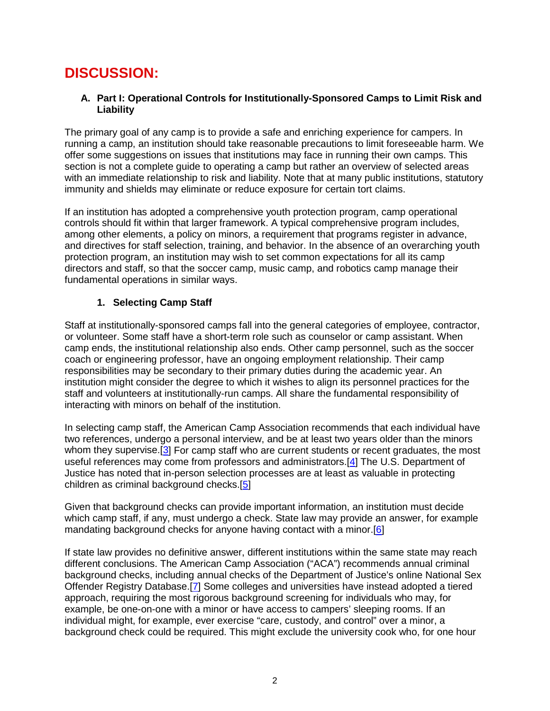# **DISCUSSION:**

#### **A. Part I: Operational Controls for Institutionally-Sponsored Camps to Limit Risk and Liability**

The primary goal of any camp is to provide a safe and enriching experience for campers. In running a camp, an institution should take reasonable precautions to limit foreseeable harm. We offer some suggestions on issues that institutions may face in running their own camps. This section is not a complete guide to operating a camp but rather an overview of selected areas with an immediate relationship to risk and liability. Note that at many public institutions, statutory immunity and shields may eliminate or reduce exposure for certain tort claims.

If an institution has adopted a comprehensive youth protection program, camp operational controls should fit within that larger framework. A typical comprehensive program includes, among other elements, a policy on minors, a requirement that programs register in advance, and directives for staff selection, training, and behavior. In the absence of an overarching youth protection program, an institution may wish to set common expectations for all its camp directors and staff, so that the soccer camp, music camp, and robotics camp manage their fundamental operations in similar ways.

## **1. Selecting Camp Staff**

Staff at institutionally-sponsored camps fall into the general categories of employee, contractor, or volunteer. Some staff have a short-term role such as counselor or camp assistant. When camp ends, the institutional relationship also ends. Other camp personnel, such as the soccer coach or engineering professor, have an ongoing employment relationship. Their camp responsibilities may be secondary to their primary duties during the academic year. An institution might consider the degree to which it wishes to align its personnel practices for the staff and volunteers at institutionally-run camps. All share the fundamental responsibility of interacting with minors on behalf of the institution.

<span id="page-1-1"></span><span id="page-1-0"></span>In selecting camp staff, the American Camp Association recommends that each individual have two references, undergo a personal interview, and be at least two years older than the minors whom they supervise.<sup>[\[3\]](#page-15-0)</sup> For camp staff who are current students or recent graduates, the most useful references may come from professors and administrators.[\[4\]](#page-15-1) The U.S. Department of Justice has noted that in-person selection processes are at least as valuable in protecting children as criminal background checks.[\[5\]](#page-15-2)

<span id="page-1-3"></span><span id="page-1-2"></span>Given that background checks can provide important information, an institution must decide which camp staff, if any, must undergo a check. State law may provide an answer, for example mandating background checks for anyone having contact with a minor.[\[6\]](#page-15-3)

<span id="page-1-4"></span>If state law provides no definitive answer, different institutions within the same state may reach different conclusions. The American Camp Association ("ACA") recommends annual criminal background checks, including annual checks of the Department of Justice's online National Sex Offender Registry Database.[\[7\]](#page-15-4) Some colleges and universities have instead adopted a tiered approach, requiring the most rigorous background screening for individuals who may, for example, be one-on-one with a minor or have access to campers' sleeping rooms. If an individual might, for example, ever exercise "care, custody, and control" over a minor, a background check could be required. This might exclude the university cook who, for one hour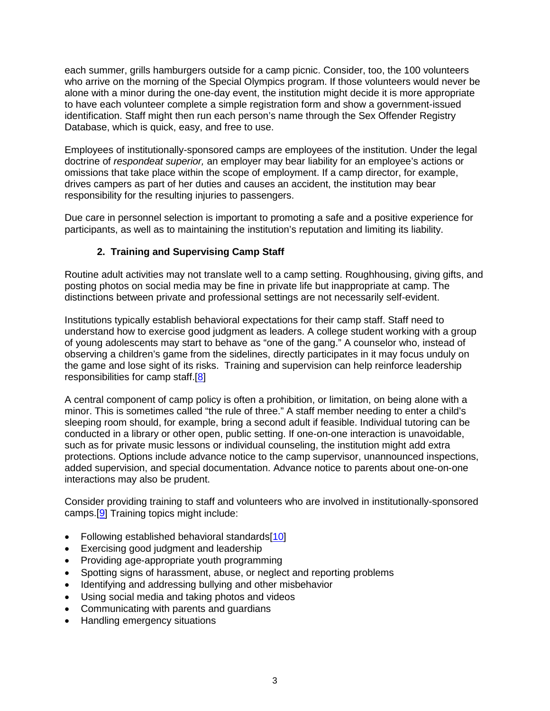each summer, grills hamburgers outside for a camp picnic. Consider, too, the 100 volunteers who arrive on the morning of the Special Olympics program. If those volunteers would never be alone with a minor during the one-day event, the institution might decide it is more appropriate to have each volunteer complete a simple registration form and show a government-issued identification. Staff might then run each person's name through the Sex Offender Registry Database, which is quick, easy, and free to use.

Employees of institutionally-sponsored camps are employees of the institution. Under the legal doctrine of *respondeat superior,* an employer may bear liability for an employee's actions or omissions that take place within the scope of employment. If a camp director, for example, drives campers as part of her duties and causes an accident, the institution may bear responsibility for the resulting injuries to passengers.

Due care in personnel selection is important to promoting a safe and a positive experience for participants, as well as to maintaining the institution's reputation and limiting its liability.

## **2.****Training and Supervising Camp Staff**

Routine adult activities may not translate well to a camp setting. Roughhousing, giving gifts, and posting photos on social media may be fine in private life but inappropriate at camp. The distinctions between private and professional settings are not necessarily self-evident.

Institutions typically establish behavioral expectations for their camp staff. Staff need to understand how to exercise good judgment as leaders. A college student working with a group of young adolescents may start to behave as "one of the gang." A counselor who, instead of observing a children's game from the sidelines, directly participates in it may focus unduly on the game and lose sight of its risks. Training and supervision can help reinforce leadership responsibilities for camp staff.[\[8\]](#page-15-5)

<span id="page-2-0"></span>A central component of camp policy is often a prohibition, or limitation, on being alone with a minor. This is sometimes called "the rule of three." A staff member needing to enter a child's sleeping room should, for example, bring a second adult if feasible. Individual tutoring can be conducted in a library or other open, public setting. If one-on-one interaction is unavoidable, such as for private music lessons or individual counseling, the institution might add extra protections. Options include advance notice to the camp supervisor, unannounced inspections, added supervision, and special documentation. Advance notice to parents about one-on-one interactions may also be prudent.

<span id="page-2-1"></span>Consider providing training to staff and volunteers who are involved in institutionally-sponsored camps.[\[9\]](#page-15-6) Training topics might include:

- Following established behavioral standards[\[10\]](#page-15-7)
- <span id="page-2-2"></span>• Exercising good judgment and leadership
- Providing age-appropriate youth programming
- Spotting signs of harassment, abuse, or neglect and reporting problems
- Identifying and addressing bullying and other misbehavior
- Using social media and taking photos and videos
- Communicating with parents and guardians
- Handling emergency situations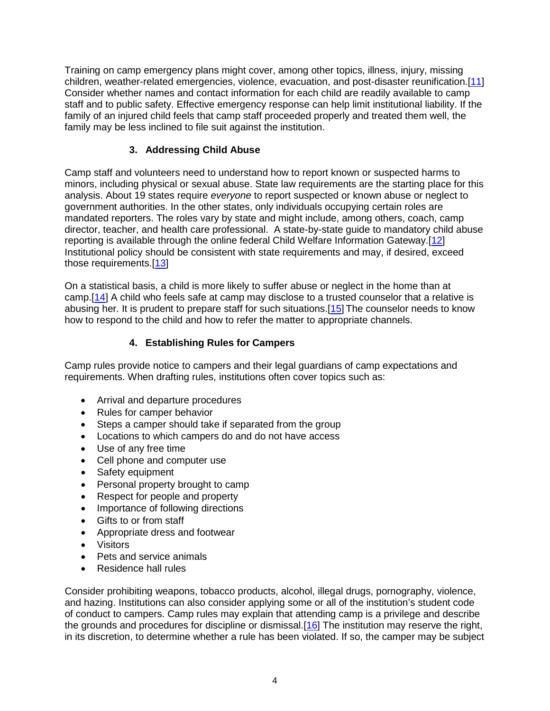Training on camp emergency plans might cover, among other topics, illness, injury, missing children, weather-related emergencies, violence, evacuation, and post-disaster reunification.[\[11\]](#page-15-8) Consider whether names and contact information for each child are readily available to camp staff and to public safety. Effective emergency response can help limit institutional liability. If the family of an injured child feels that camp staff proceeded properly and treated them well, the family may be less inclined to file suit against the institution.

## <span id="page-3-1"></span><span id="page-3-0"></span>**3. Addressing Child Abuse**

Camp staff and volunteers need to understand how to report known or suspected harms to minors, including physical or sexual abuse. State law requirements are the starting place for this analysis. About 19 states require *everyone* to report suspected or known abuse or neglect to government authorities. In the other states, only individuals occupying certain roles are mandated reporters. The roles vary by state and might include, among others, coach, camp director, teacher, and health care professional. A state-by-state guide to mandatory child abuse reporting is available through the online federal Child Welfare Information Gateway.[\[12\]](#page-15-9) Institutional policy should be consistent with state requirements and may, if desired, exceed those requirements.[\[13\]](#page-15-10)

<span id="page-3-3"></span>On a statistical basis, a child is more likely to suffer abuse or neglect in the home than at camp.[\[14\]](#page-15-11) A child who feels safe at camp may disclose to a trusted counselor that a relative is abusing her. It is prudent to prepare staff for such situations.[\[15\]](#page-16-0) The counselor needs to know how to respond to the child and how to refer the matter to appropriate channels.

## <span id="page-3-4"></span><span id="page-3-2"></span>**4. Establishing Rules for Campers**

Camp rules provide notice to campers and their legal guardians of camp expectations and requirements. When drafting rules, institutions often cover topics such as:

- Arrival and departure procedures
- Rules for camper behavior
- Steps a camper should take if separated from the group
- Locations to which campers do and do not have access
- Use of any free time
- Cell phone and computer use
- Safety equipment
- Personal property brought to camp
- Respect for people and property
- Importance of following directions
- Gifts to or from staff
- Appropriate dress and footwear
- Visitors
- Pets and service animals
- <span id="page-3-5"></span>• Residence hall rules

Consider prohibiting weapons, tobacco products, alcohol, illegal drugs, pornography, violence, and hazing. Institutions can also consider applying some or all of the institution's student code of conduct to campers. Camp rules may explain that attending camp is a privilege and describe the grounds and procedures for discipline or dismissal.[\[16\]](#page-16-1) The institution may reserve the right, in its discretion, to determine whether a rule has been violated. If so, the camper may be subject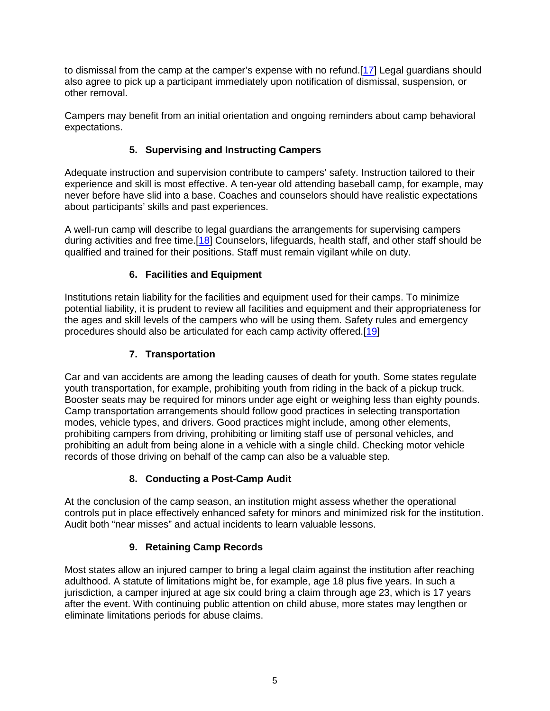to dismissal from the camp at the camper's expense with no refund.[\[17\]](#page-16-2) Legal guardians should also agree to pick up a participant immediately upon notification of dismissal, suspension, or other removal.

Campers may benefit from an initial orientation and ongoing reminders about camp behavioral expectations.

## <span id="page-4-0"></span>**5. Supervising and Instructing Campers**

Adequate instruction and supervision contribute to campers' safety. Instruction tailored to their experience and skill is most effective. A ten-year old attending baseball camp, for example, may never before have slid into a base. Coaches and counselors should have realistic expectations about participants' skills and past experiences.

A well-run camp will describe to legal guardians the arrangements for supervising campers during activities and free time.[\[18\]](#page-16-3) Counselors, lifeguards, health staff, and other staff should be qualified and trained for their positions. Staff must remain vigilant while on duty.

## <span id="page-4-1"></span>**6. Facilities and Equipment**

Institutions retain liability for the facilities and equipment used for their camps. To minimize potential liability, it is prudent to review all facilities and equipment and their appropriateness for the ages and skill levels of the campers who will be using them. Safety rules and emergency procedures should also be articulated for each camp activity offered.[\[19\]](#page-16-4)

## <span id="page-4-2"></span>**7. Transportation**

Car and van accidents are among the leading causes of death for youth. Some states regulate youth transportation, for example, prohibiting youth from riding in the back of a pickup truck. Booster seats may be required for minors under age eight or weighing less than eighty pounds. Camp transportation arrangements should follow good practices in selecting transportation modes, vehicle types, and drivers. Good practices might include, among other elements, prohibiting campers from driving, prohibiting or limiting staff use of personal vehicles, and prohibiting an adult from being alone in a vehicle with a single child. Checking motor vehicle records of those driving on behalf of the camp can also be a valuable step.

## **8. Conducting a Post-Camp Audit**

At the conclusion of the camp season, an institution might assess whether the operational controls put in place effectively enhanced safety for minors and minimized risk for the institution. Audit both "near misses" and actual incidents to learn valuable lessons.

## **9. Retaining Camp Records**

Most states allow an injured camper to bring a legal claim against the institution after reaching adulthood. A statute of limitations might be, for example, age 18 plus five years. In such a jurisdiction, a camper injured at age six could bring a claim through age 23, which is 17 years after the event. With continuing public attention on child abuse, more states may lengthen or eliminate limitations periods for abuse claims.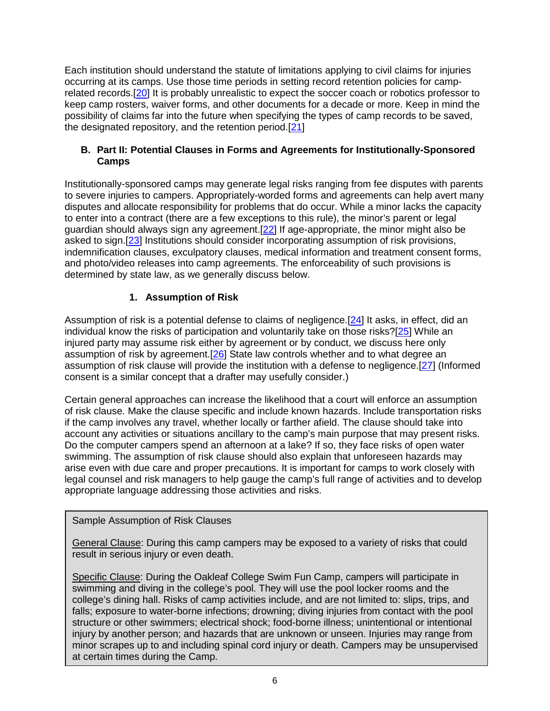<span id="page-5-0"></span>Each institution should understand the statute of limitations applying to civil claims for injuries occurring at its camps. Use those time periods in setting record retention policies for camprelated records.[\[20\]](#page-16-5) It is probably unrealistic to expect the soccer coach or robotics professor to keep camp rosters, waiver forms, and other documents for a decade or more. Keep in mind the possibility of claims far into the future when specifying the types of camp records to be saved, the designated repository, and the retention period.[\[21\]](#page-16-6)

#### <span id="page-5-1"></span>**B. Part II: Potential Clauses in Forms and Agreements for Institutionally-Sponsored Camps**

Institutionally-sponsored camps may generate legal risks ranging from fee disputes with parents to severe injuries to campers. Appropriately-worded forms and agreements can help avert many disputes and allocate responsibility for problems that do occur. While a minor lacks the capacity to enter into a contract (there are a few exceptions to this rule), the minor's parent or legal guardian should always sign any agreement.[\[22\]](#page-16-7) If age-appropriate, the minor might also be asked to sign.[\[23\]](#page-16-8) Institutions should consider incorporating assumption of risk provisions, indemnification clauses, exculpatory clauses, medical information and treatment consent forms, and photo/video releases into camp agreements. The enforceability of such provisions is determined by state law, as we generally discuss below.

## <span id="page-5-7"></span><span id="page-5-6"></span><span id="page-5-5"></span><span id="page-5-4"></span><span id="page-5-3"></span><span id="page-5-2"></span>**1. Assumption of Risk**

Assumption of risk is a potential defense to claims of negligence.<sup>[\[24\]](#page-16-9)</sup> It asks, in effect, did an individual know the risks of participation and voluntarily take on those risks?[\[25\]](#page-16-10) While an injured party may assume risk either by agreement or by conduct, we discuss here only assumption of risk by agreement.[\[26\]](#page-16-11) State law controls whether and to what degree an assumption of risk clause will provide the institution with a defense to negligence.[\[27\]](#page-17-0) (Informed consent is a similar concept that a drafter may usefully consider.)

Certain general approaches can increase the likelihood that a court will enforce an assumption of risk clause. Make the clause specific and include known hazards. Include transportation risks if the camp involves any travel, whether locally or farther afield. The clause should take into account any activities or situations ancillary to the camp's main purpose that may present risks. Do the computer campers spend an afternoon at a lake? If so, they face risks of open water swimming. The assumption of risk clause should also explain that unforeseen hazards may arise even with due care and proper precautions. It is important for camps to work closely with legal counsel and risk managers to help gauge the camp's full range of activities and to develop appropriate language addressing those activities and risks.

## Sample Assumption of Risk Clauses

General Clause: During this camp campers may be exposed to a variety of risks that could result in serious injury or even death.

Specific Clause: During the Oakleaf College Swim Fun Camp, campers will participate in swimming and diving in the college's pool. They will use the pool locker rooms and the college's dining hall. Risks of camp activities include, and are not limited to: slips, trips, and falls; exposure to water-borne infections; drowning; diving injuries from contact with the pool structure or other swimmers; electrical shock; food-borne illness; unintentional or intentional injury by another person; and hazards that are unknown or unseen. Injuries may range from minor scrapes up to and including spinal cord injury or death. Campers may be unsupervised at certain times during the Camp.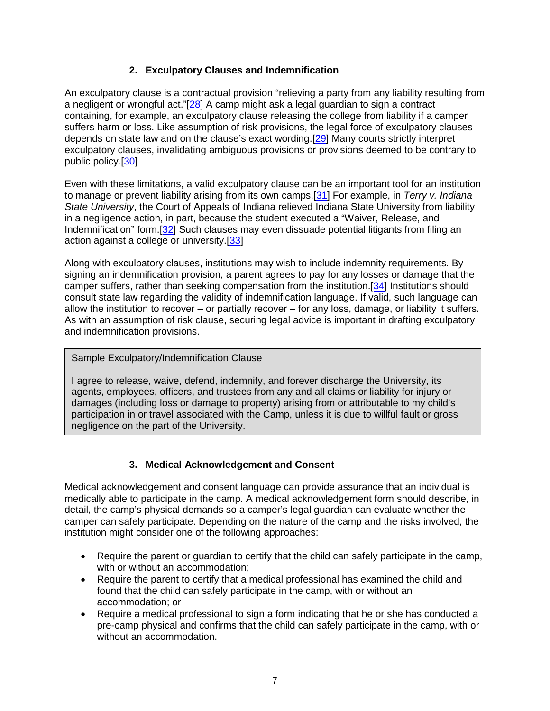## <span id="page-6-3"></span><span id="page-6-1"></span><span id="page-6-0"></span>**2. Exculpatory Clauses and Indemnification**

An exculpatory clause is a contractual provision "relieving a party from any liability resulting from a negligent or wrongful act." $[28]$  A camp might ask a legal guardian to sign a contract containing, for example, an exculpatory clause releasing the college from liability if a camper suffers harm or loss. Like assumption of risk provisions, the legal force of exculpatory clauses depends on state law and on the clause's exact wording.[\[29\]](#page-17-2) Many courts strictly interpret exculpatory clauses, invalidating ambiguous provisions or provisions deemed to be contrary to public policy.[\[30\]](#page-17-3)

<span id="page-6-2"></span>Even with these limitations, a valid exculpatory clause can be an important tool for an institution to manage or prevent liability arising from its own camps.[\[31\]](#page-17-4) For example, in *Terry v. Indiana State University*, the Court of Appeals of Indiana relieved Indiana State University from liability in a negligence action, in part, because the student executed a "Waiver, Release, and Indemnification" form.[\[32\]](#page-17-5) Such clauses may even dissuade potential litigants from filing an action against a college or university.[\[33\]](#page-17-6)

<span id="page-6-5"></span><span id="page-6-4"></span>Along with exculpatory clauses, institutions may wish to include indemnity requirements. By signing an indemnification provision, a parent agrees to pay for any losses or damage that the camper suffers, rather than seeking compensation from the institution.[\[34\]](#page-17-7) Institutions should consult state law regarding the validity of indemnification language. If valid, such language can allow the institution to recover – or partially recover – for any loss, damage, or liability it suffers. As with an assumption of risk clause, securing legal advice is important in drafting exculpatory and indemnification provisions.

#### Sample Exculpatory/Indemnification Clause

I agree to release, waive, defend, indemnify, and forever discharge the University, its agents, employees, officers, and trustees from any and all claims or liability for injury or damages (including loss or damage to property) arising from or attributable to my child's participation in or travel associated with the Camp, unless it is due to willful fault or gross negligence on the part of the University.

## <span id="page-6-6"></span>**3. Medical Acknowledgement and Consent**

Medical acknowledgement and consent language can provide assurance that an individual is medically able to participate in the camp. A medical acknowledgement form should describe, in detail, the camp's physical demands so a camper's legal guardian can evaluate whether the camper can safely participate. Depending on the nature of the camp and the risks involved, the institution might consider one of the following approaches:

- Require the parent or guardian to certify that the child can safely participate in the camp, with or without an accommodation;
- Require the parent to certify that a medical professional has examined the child and found that the child can safely participate in the camp, with or without an accommodation; or
- Require a medical professional to sign a form indicating that he or she has conducted a pre-camp physical and confirms that the child can safely participate in the camp, with or without an accommodation.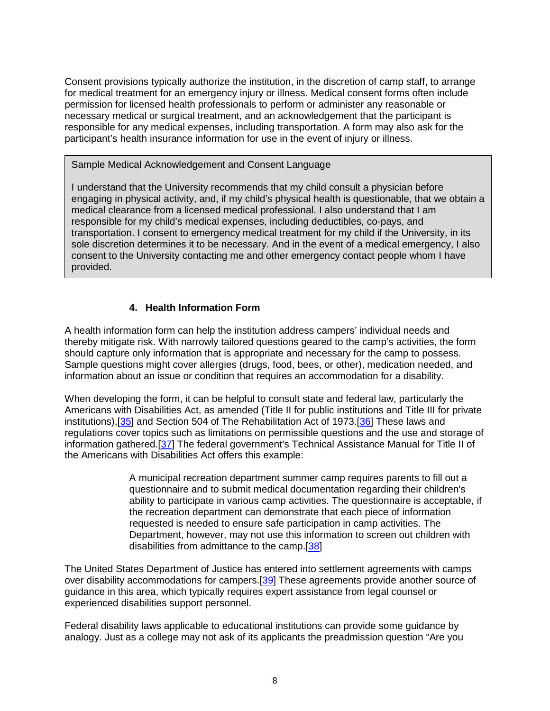Consent provisions typically authorize the institution, in the discretion of camp staff, to arrange for medical treatment for an emergency injury or illness. Medical consent forms often include permission for licensed health professionals to perform or administer any reasonable or necessary medical or surgical treatment, and an acknowledgement that the participant is responsible for any medical expenses, including transportation. A form may also ask for the participant's health insurance information for use in the event of injury or illness.

#### Sample Medical Acknowledgement and Consent Language

I understand that the University recommends that my child consult a physician before engaging in physical activity, and, if my child's physical health is questionable, that we obtain a medical clearance from a licensed medical professional. I also understand that I am responsible for my child's medical expenses, including deductibles, co-pays, and transportation. I consent to emergency medical treatment for my child if the University, in its sole discretion determines it to be necessary. And in the event of a medical emergency, I also consent to the University contacting me and other emergency contact people whom I have provided.

#### **4. Health Information Form**

A health information form can help the institution address campers' individual needs and thereby mitigate risk. With narrowly tailored questions geared to the camp's activities, the form should capture only information that is appropriate and necessary for the camp to possess. Sample questions might cover allergies (drugs, food, bees, or other), medication needed, and information about an issue or condition that requires an accommodation for a disability.

<span id="page-7-0"></span>When developing the form, it can be helpful to consult state and federal law, particularly the Americans with Disabilities Act, as amended (Title II for public institutions and Title III for private institutions),[\[35\]](#page-17-8) and Section 504 of The Rehabilitation Act of 1973.[\[36\]](#page-17-9) These laws and regulations cover topics such as limitations on permissible questions and the use and storage of information gathered.[\[37\]](#page-17-10) The federal government's Technical Assistance Manual for Title II of the Americans with Disabilities Act offers this example:

> <span id="page-7-4"></span><span id="page-7-3"></span><span id="page-7-2"></span><span id="page-7-1"></span>A municipal recreation department summer camp requires parents to fill out a questionnaire and to submit medical documentation regarding their children's ability to participate in various camp activities. The questionnaire is acceptable, if the recreation department can demonstrate that each piece of information requested is needed to ensure safe participation in camp activities. The Department, however, may not use this information to screen out children with disabilities from admittance to the camp.[\[38\]](#page-18-0)

The United States Department of Justice has entered into settlement agreements with camps over disability accommodations for campers.[\[39\]](#page-18-1) These agreements provide another source of guidance in this area, which typically requires expert assistance from legal counsel or experienced disabilities support personnel.

Federal disability laws applicable to educational institutions can provide some guidance by analogy. Just as a college may not ask of its applicants the preadmission question "Are you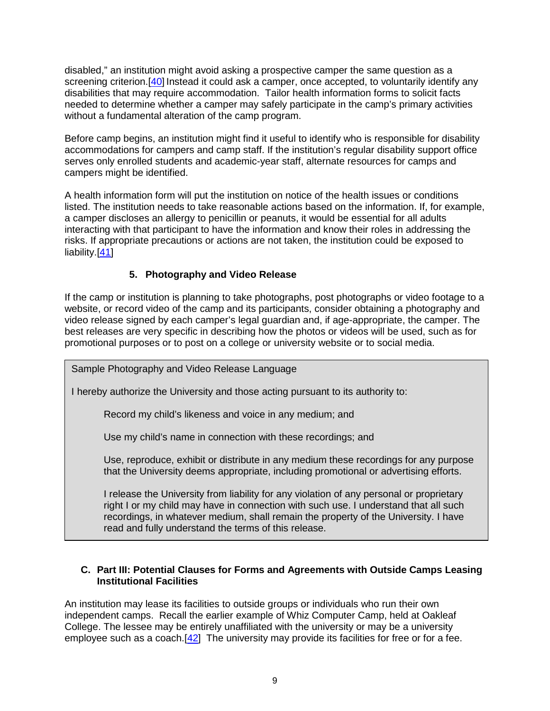<span id="page-8-0"></span>disabled," an institution might avoid asking a prospective camper the same question as a screening criterion.<sup>[\[40\]](#page-18-2)</sup> Instead it could ask a camper, once accepted, to voluntarily identify any disabilities that may require accommodation. Tailor health information forms to solicit facts needed to determine whether a camper may safely participate in the camp's primary activities without a fundamental alteration of the camp program.

Before camp begins, an institution might find it useful to identify who is responsible for disability accommodations for campers and camp staff. If the institution's regular disability support office serves only enrolled students and academic-year staff, alternate resources for camps and campers might be identified.

A health information form will put the institution on notice of the health issues or conditions listed. The institution needs to take reasonable actions based on the information. If, for example, a camper discloses an allergy to penicillin or peanuts, it would be essential for all adults interacting with that participant to have the information and know their roles in addressing the risks. If appropriate precautions or actions are not taken, the institution could be exposed to liability.[\[41\]](#page-18-3)

## <span id="page-8-1"></span>**5. Photography and Video Release**

If the camp or institution is planning to take photographs, post photographs or video footage to a website, or record video of the camp and its participants, consider obtaining a photography and video release signed by each camper's legal guardian and, if age-appropriate, the camper. The best releases are very specific in describing how the photos or videos will be used, such as for promotional purposes or to post on a college or university website or to social media.

Sample Photography and Video Release Language

I hereby authorize the University and those acting pursuant to its authority to:

Record my child's likeness and voice in any medium; and

Use my child's name in connection with these recordings; and

Use, reproduce, exhibit or distribute in any medium these recordings for any purpose that the University deems appropriate, including promotional or advertising efforts.

I release the University from liability for any violation of any personal or proprietary right I or my child may have in connection with such use. I understand that all such recordings, in whatever medium, shall remain the property of the University. I have read and fully understand the terms of this release.

#### **C. Part III: Potential Clauses for Forms and Agreements with Outside Camps Leasing Institutional Facilities**

<span id="page-8-2"></span>An institution may lease its facilities to outside groups or individuals who run their own independent camps. Recall the earlier example of Whiz Computer Camp, held at Oakleaf College. The lessee may be entirely unaffiliated with the university or may be a university employee such as a coach.<sup>[\[42\]](#page-18-4)</sup> The university may provide its facilities for free or for a fee.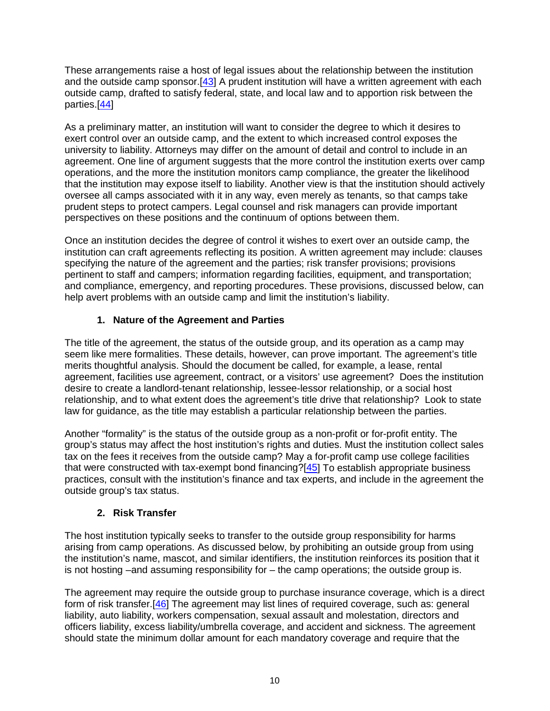<span id="page-9-0"></span>These arrangements raise a host of legal issues about the relationship between the institution and the outside camp sponsor.<sup>[\[43\]](#page-18-5)</sup> A prudent institution will have a written agreement with each outside camp, drafted to satisfy federal, state, and local law and to apportion risk between the parties.[\[44\]](#page-18-6)

<span id="page-9-1"></span>As a preliminary matter, an institution will want to consider the degree to which it desires to exert control over an outside camp, and the extent to which increased control exposes the university to liability. Attorneys may differ on the amount of detail and control to include in an agreement. One line of argument suggests that the more control the institution exerts over camp operations, and the more the institution monitors camp compliance, the greater the likelihood that the institution may expose itself to liability. Another view is that the institution should actively oversee all camps associated with it in any way, even merely as tenants, so that camps take prudent steps to protect campers. Legal counsel and risk managers can provide important perspectives on these positions and the continuum of options between them.

Once an institution decides the degree of control it wishes to exert over an outside camp, the institution can craft agreements reflecting its position. A written agreement may include: clauses specifying the nature of the agreement and the parties; risk transfer provisions; provisions pertinent to staff and campers; information regarding facilities, equipment, and transportation; and compliance, emergency, and reporting procedures. These provisions, discussed below, can help avert problems with an outside camp and limit the institution's liability.

## **1. Nature of the Agreement and Parties**

The title of the agreement, the status of the outside group, and its operation as a camp may seem like mere formalities. These details, however, can prove important. The agreement's title merits thoughtful analysis. Should the document be called, for example, a lease, rental agreement, facilities use agreement, contract, or a visitors' use agreement? Does the institution desire to create a landlord-tenant relationship, lessee-lessor relationship, or a social host relationship, and to what extent does the agreement's title drive that relationship? Look to state law for guidance, as the title may establish a particular relationship between the parties.

Another "formality" is the status of the outside group as a non-profit or for-profit entity. The group's status may affect the host institution's rights and duties. Must the institution collect sales tax on the fees it receives from the outside camp? May a for-profit camp use college facilities that were constructed with tax-exempt bond financing? $[45]$  To establish appropriate business practices, consult with the institution's finance and tax experts, and include in the agreement the outside group's tax status.

## <span id="page-9-2"></span>**2. Risk Transfer**

The host institution typically seeks to transfer to the outside group responsibility for harms arising from camp operations. As discussed below, by prohibiting an outside group from using the institution's name, mascot, and similar identifiers, the institution reinforces its position that it is not hosting –and assuming responsibility for – the camp operations; the outside group is.

<span id="page-9-3"></span>The agreement may require the outside group to purchase insurance coverage, which is a direct form of risk transfer. [\[46\]](#page-18-8) The agreement may list lines of required coverage, such as: general liability, auto liability, workers compensation, sexual assault and molestation, directors and officers liability, excess liability/umbrella coverage, and accident and sickness. The agreement should state the minimum dollar amount for each mandatory coverage and require that the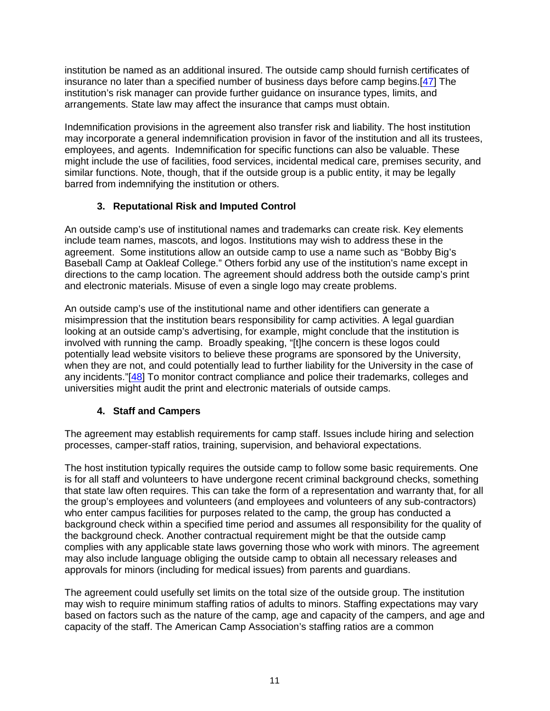institution be named as an additional insured. The outside camp should furnish certificates of insurance no later than a specified number of business days before camp begins.[\[47\]](#page-18-9) The institution's risk manager can provide further guidance on insurance types, limits, and arrangements. State law may affect the insurance that camps must obtain.

Indemnification provisions in the agreement also transfer risk and liability. The host institution may incorporate a general indemnification provision in favor of the institution and all its trustees, employees, and agents. Indemnification for specific functions can also be valuable. These might include the use of facilities, food services, incidental medical care, premises security, and similar functions. Note, though, that if the outside group is a public entity, it may be legally barred from indemnifying the institution or others.

## <span id="page-10-0"></span>**3. Reputational Risk and Imputed Control**

An outside camp's use of institutional names and trademarks can create risk. Key elements include team names, mascots, and logos. Institutions may wish to address these in the agreement. Some institutions allow an outside camp to use a name such as "Bobby Big's Baseball Camp at Oakleaf College." Others forbid any use of the institution's name except in directions to the camp location. The agreement should address both the outside camp's print and electronic materials. Misuse of even a single logo may create problems.

An outside camp's use of the institutional name and other identifiers can generate a misimpression that the institution bears responsibility for camp activities. A legal guardian looking at an outside camp's advertising, for example, might conclude that the institution is involved with running the camp. Broadly speaking, "[t]he concern is these logos could potentially lead website visitors to believe these programs are sponsored by the University, when they are not, and could potentially lead to further liability for the University in the case of any incidents."[\[48\]](#page-19-0) To monitor contract compliance and police their trademarks, colleges and universities might audit the print and electronic materials of outside camps.

## <span id="page-10-1"></span>**4. Staff and Campers**

The agreement may establish requirements for camp staff. Issues include hiring and selection processes, camper-staff ratios, training, supervision, and behavioral expectations.

The host institution typically requires the outside camp to follow some basic requirements. One is for all staff and volunteers to have undergone recent criminal background checks, something that state law often requires. This can take the form of a representation and warranty that, for all the group's employees and volunteers (and employees and volunteers of any sub-contractors) who enter campus facilities for purposes related to the camp, the group has conducted a background check within a specified time period and assumes all responsibility for the quality of the background check. Another contractual requirement might be that the outside camp complies with any applicable state laws governing those who work with minors. The agreement may also include language obliging the outside camp to obtain all necessary releases and approvals for minors (including for medical issues) from parents and guardians.

The agreement could usefully set limits on the total size of the outside group. The institution may wish to require minimum staffing ratios of adults to minors. Staffing expectations may vary based on factors such as the nature of the camp, age and capacity of the campers, and age and capacity of the staff. The American Camp Association's staffing ratios are a common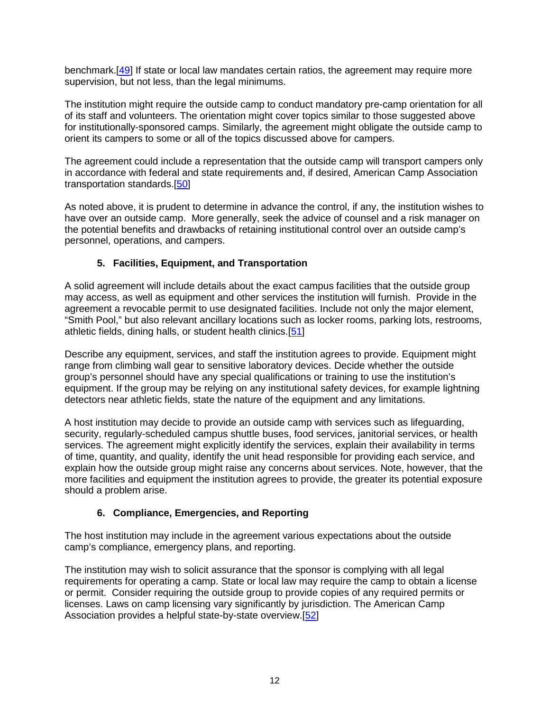<span id="page-11-0"></span>benchmark.[\[49\]](#page-19-1) If state or local law mandates certain ratios, the agreement may require more supervision, but not less, than the legal minimums.

The institution might require the outside camp to conduct mandatory pre-camp orientation for all of its staff and volunteers. The orientation might cover topics similar to those suggested above for institutionally-sponsored camps. Similarly, the agreement might obligate the outside camp to orient its campers to some or all of the topics discussed above for campers.

<span id="page-11-1"></span>The agreement could include a representation that the outside camp will transport campers only in accordance with federal and state requirements and, if desired, American Camp Association transportation standards.[\[50\]](#page-19-2)

As noted above, it is prudent to determine in advance the control, if any, the institution wishes to have over an outside camp. More generally, seek the advice of counsel and a risk manager on the potential benefits and drawbacks of retaining institutional control over an outside camp's personnel, operations, and campers.

## <span id="page-11-2"></span>**5. Facilities, Equipment, and Transportation**

A solid agreement will include details about the exact campus facilities that the outside group may access, as well as equipment and other services the institution will furnish. Provide in the agreement a revocable permit to use designated facilities. Include not only the major element, "Smith Pool," but also relevant ancillary locations such as locker rooms, parking lots, restrooms, athletic fields, dining halls, or student health clinics.[\[51\]](#page-19-3)

Describe any equipment, services, and staff the institution agrees to provide. Equipment might range from climbing wall gear to sensitive laboratory devices. Decide whether the outside group's personnel should have any special qualifications or training to use the institution's equipment. If the group may be relying on any institutional safety devices, for example lightning detectors near athletic fields, state the nature of the equipment and any limitations.

A host institution may decide to provide an outside camp with services such as lifeguarding, security, regularly-scheduled campus shuttle buses, food services, janitorial services, or health services. The agreement might explicitly identify the services, explain their availability in terms of time, quantity, and quality, identify the unit head responsible for providing each service, and explain how the outside group might raise any concerns about services. Note, however, that the more facilities and equipment the institution agrees to provide, the greater its potential exposure should a problem arise.

## <span id="page-11-3"></span>**6. Compliance, Emergencies, and Reporting**

The host institution may include in the agreement various expectations about the outside camp's compliance, emergency plans, and reporting.

The institution may wish to solicit assurance that the sponsor is complying with all legal requirements for operating a camp. State or local law may require the camp to obtain a license or permit. Consider requiring the outside group to provide copies of any required permits or licenses. Laws on camp licensing vary significantly by jurisdiction. The American Camp Association provides a helpful state-by-state overview.[\[52\]](#page-19-4)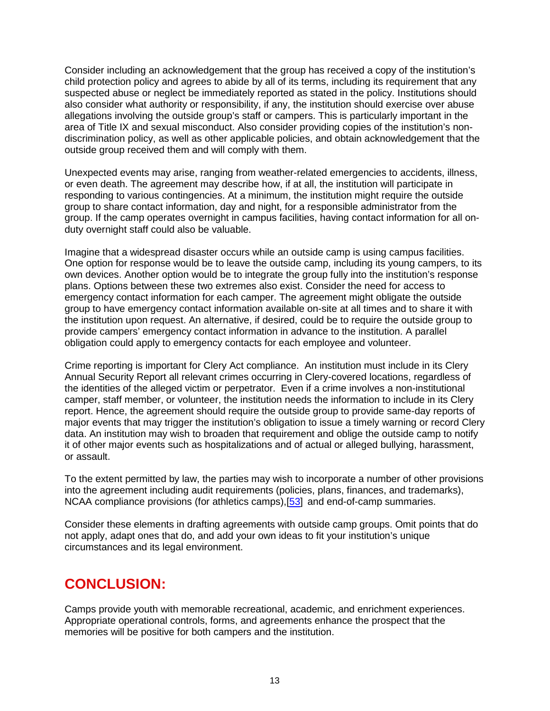Consider including an acknowledgement that the group has received a copy of the institution's child protection policy and agrees to abide by all of its terms, including its requirement that any suspected abuse or neglect be immediately reported as stated in the policy. Institutions should also consider what authority or responsibility, if any, the institution should exercise over abuse allegations involving the outside group's staff or campers. This is particularly important in the area of Title IX and sexual misconduct. Also consider providing copies of the institution's nondiscrimination policy, as well as other applicable policies, and obtain acknowledgement that the outside group received them and will comply with them.

Unexpected events may arise, ranging from weather-related emergencies to accidents, illness, or even death. The agreement may describe how, if at all, the institution will participate in responding to various contingencies. At a minimum, the institution might require the outside group to share contact information, day and night, for a responsible administrator from the group. If the camp operates overnight in campus facilities, having contact information for all onduty overnight staff could also be valuable.

Imagine that a widespread disaster occurs while an outside camp is using campus facilities. One option for response would be to leave the outside camp, including its young campers, to its own devices. Another option would be to integrate the group fully into the institution's response plans. Options between these two extremes also exist. Consider the need for access to emergency contact information for each camper. The agreement might obligate the outside group to have emergency contact information available on-site at all times and to share it with the institution upon request. An alternative, if desired, could be to require the outside group to provide campers' emergency contact information in advance to the institution. A parallel obligation could apply to emergency contacts for each employee and volunteer.

Crime reporting is important for Clery Act compliance. An institution must include in its Clery Annual Security Report all relevant crimes occurring in Clery-covered locations, regardless of the identities of the alleged victim or perpetrator. Even if a crime involves a non-institutional camper, staff member, or volunteer, the institution needs the information to include in its Clery report. Hence, the agreement should require the outside group to provide same-day reports of major events that may trigger the institution's obligation to issue a timely warning or record Clery data. An institution may wish to broaden that requirement and oblige the outside camp to notify it of other major events such as hospitalizations and of actual or alleged bullying, harassment, or assault.

<span id="page-12-0"></span>To the extent permitted by law, the parties may wish to incorporate a number of other provisions into the agreement including audit requirements (policies, plans, finances, and trademarks), NCAA compliance provisions (for athletics camps),[\[53\]](#page-19-5) and end-of-camp summaries.

Consider these elements in drafting agreements with outside camp groups. Omit points that do not apply, adapt ones that do, and add your own ideas to fit your institution's unique circumstances and its legal environment.

## **CONCLUSION:**

Camps provide youth with memorable recreational, academic, and enrichment experiences. Appropriate operational controls, forms, and agreements enhance the prospect that the memories will be positive for both campers and the institution.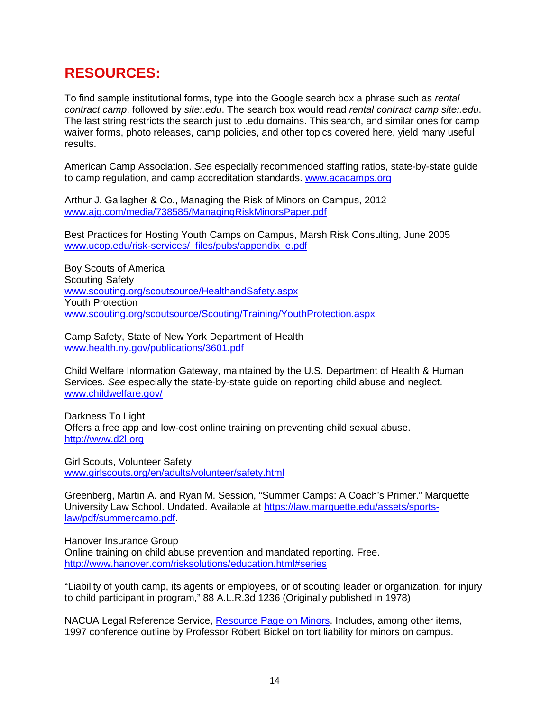## **RESOURCES:**

To find sample institutional forms, type into the Google search box a phrase such as *rental contract camp*, followed by *site:.edu*. The search box would read *rental contract camp site:.edu*. The last string restricts the search just to .edu domains. This search, and similar ones for camp waiver forms, photo releases, camp policies, and other topics covered here, yield many useful results.

American Camp Association. *See* especially recommended staffing ratios, state-by-state guide to camp regulation, and camp accreditation standards. [www.acacamps.org](http://www.acacamps.org/)

Arthur J. Gallagher & Co., Managing the Risk of Minors on Campus, 2012 [www.ajg.com/media/738585/ManagingRiskMinorsPaper.pdf](http://www.ajg.com/media/738585/ManagingRiskMinorsPaper.pdf)

Best Practices for Hosting Youth Camps on Campus, Marsh Risk Consulting, June 2005 [www.ucop.edu/risk-services/\\_files/pubs/appendix\\_e.pdf](http://www.ucop.edu/risk-services/_files/pubs/appendix_e.pdf)

Boy Scouts of America Scouting Safety [www.scouting.org/scoutsource/HealthandSafety.aspx](http://www.scouting.org/scoutsource/HealthandSafety.aspx) Youth Protection [www.scouting.org/scoutsource/Scouting/Training/YouthProtection.aspx](http://www.scouting.org/scoutsource/Scouting/Training/YouthProtection.aspx) 

Camp Safety, State of New York Department of Health [www.health.ny.gov/publications/3601.pdf](http://www.health.ny.gov/publications/3601.pdf)

Child Welfare Information Gateway, maintained by the U.S. Department of Health & Human Services. *See* especially the state-by-state guide on reporting child abuse and neglect. [www.childwelfare.gov/](http://www.childwelfare.gov/)

Darkness To Light Offers a free app and low-cost online training on preventing child sexual abuse. [http://www.d2l.org](http://www.d2l.org/)

Girl Scouts, Volunteer Safety [www.girlscouts.org/en/adults/volunteer/safety.html](http://www.girlscouts.org/en/adults/volunteer/safety.html)

Greenberg, Martin A. and Ryan M. Session, "Summer Camps: A Coach's Primer." Marquette University Law School. Undated. Available at [https://law.marquette.edu/assets/sports](https://law.marquette.edu/assets/sports-law/pdf/summercamo.pdf)[law/pdf/summercamo.pdf.](https://law.marquette.edu/assets/sports-law/pdf/summercamo.pdf)

Hanover Insurance Group Online training on child abuse prevention and mandated reporting. Free. [http://www.hanover.com/risksolutions/education.html#series](http://www.hanover.com/risksolutions/education.html%23series)

"Liability of youth camp, its agents or employees, or of scouting leader or organization, for injury to child participant in program," 88 A.L.R.3d 1236 (Originally published in 1978)

NACUA Legal Reference Service, [Resource Page on Minors.](https://www.nacua.org/resource-library/resources-by-topic/students/minors-on-campus) Includes, among other items, 1997 conference outline by Professor Robert Bickel on tort liability for minors on campus.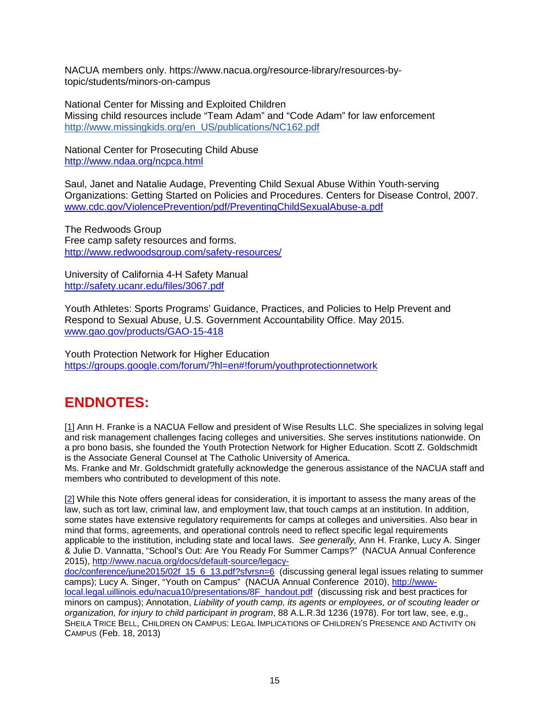NACUA members only. https://www.nacua.org/resource-library/resources-bytopic/students/minors-on-campus

National Center for Missing and Exploited Children Missing child resources include "Team Adam" and "Code Adam" for law enforcement [http://www.missingkids.org/en\\_US/publications/NC162.pdf](http://www.missingkids.org/en_US/publications/NC162.pdf)

National Center for Prosecuting Child Abuse <http://www.ndaa.org/ncpca.html>

Saul, Janet and Natalie Audage, Preventing Child Sexual Abuse Within Youth-serving Organizations: Getting Started on Policies and Procedures. Centers for Disease Control, 2007. [www.cdc.gov/ViolencePrevention/pdf/PreventingChildSexualAbuse-a.pdf](http://www.cdc.gov/ViolencePrevention/pdf/PreventingChildSexualAbuse-a.pdf)

The Redwoods Group Free camp safety resources and forms. <http://www.redwoodsgroup.com/safety-resources/>

University of California 4-H Safety Manual <http://safety.ucanr.edu/files/3067.pdf>

Youth Athletes: Sports Programs' Guidance, Practices, and Policies to Help Prevent and Respond to Sexual Abuse, U.S. Government Accountability Office. May 2015. [www.gao.gov/products/GAO-15-418](http://www.gao.gov/products/GAO-15-418)

Youth Protection Network for Higher Education [https://groups.google.com/forum/?hl=en#!forum/youthprotectionnetwork](https://groups.google.com/forum/?hl=en%23!forum/youthprotectionnetwork)

# **ENDNOTES:**

<span id="page-14-0"></span>[\[1\]](#page-0-0) Ann H. Franke is a NACUA Fellow and president of Wise Results LLC. She specializes in solving legal and risk management challenges facing colleges and universities. She serves institutions nationwide. On a pro bono basis, she founded the Youth Protection Network for Higher Education. Scott Z. Goldschmidt is the Associate General Counsel at The Catholic University of America.

<span id="page-14-1"></span>Ms. Franke and Mr. Goldschmidt gratefully acknowledge the generous assistance of the NACUA staff and members who contributed to development of this note.

[\[2\]](#page-0-1) While this Note offers general ideas for consideration, it is important to assess the many areas of the law, such as tort law, criminal law, and employment law, that touch camps at an institution. In addition, some states have extensive regulatory requirements for camps at colleges and universities. Also bear in mind that forms, agreements, and operational controls need to reflect specific legal requirements applicable to the institution, including state and local laws. *See generally,* Ann H. Franke, Lucy A. Singer & Julie D. Vannatta, "School's Out: Are You Ready For Summer Camps?" (NACUA Annual Conference 2015), [http://www.nacua.org/docs/default-source/legacy-](http://www.nacua.org/docs/default-source/legacy-doc/conference/june2015/02f_15_6_13.pdf?sfvrsn=6)

[doc/conference/june2015/02f\\_15\\_6\\_13.pdf?sfvrsn=6](http://www.nacua.org/docs/default-source/legacy-doc/conference/june2015/02f_15_6_13.pdf?sfvrsn=6) (discussing general legal issues relating to summer camps); Lucy A. Singer, "Youth on Campus" (NACUA Annual Conference 2010), [http://www](http://www-local.legal.uillinois.edu/nacua10/presentations/8F_handout.pdf)[local.legal.uillinois.edu/nacua10/presentations/8F\\_handout.pdf](http://www-local.legal.uillinois.edu/nacua10/presentations/8F_handout.pdf) (discussing risk and best practices for minors on campus); Annotation, *Liability of youth camp, its agents or employees, or of scouting leader or organization, for injury to child participant in program*, 88 A.L.R.3d 1236 (1978). For tort law, see, e.g., SHEILA TRICE BELL, CHILDREN ON CAMPUS: LEGAL IMPLICATIONS OF CHILDREN'S PRESENCE AND ACTIVITY ON CAMPUS (Feb. 18, 2013)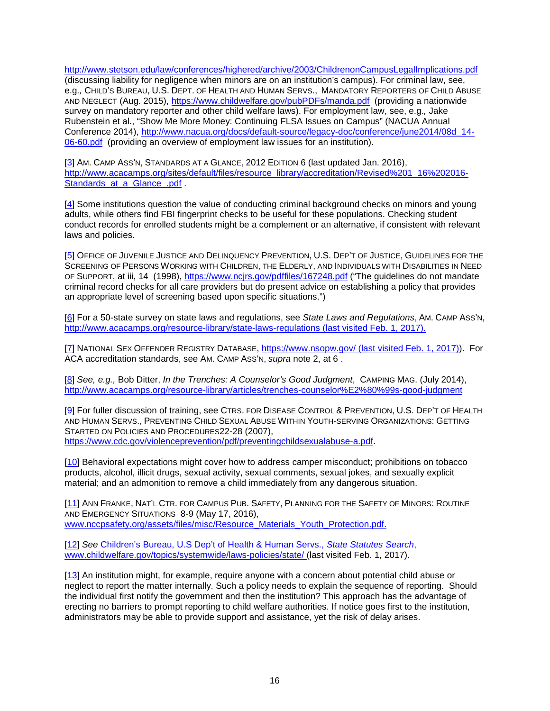<http://www.stetson.edu/law/conferences/highered/archive/2003/ChildrenonCampusLegalImplications.pdf> (discussing liability for negligence when minors are on an institution's campus). For criminal law, see, e.g.*,* CHILD'S BUREAU, U.S. DEPT. OF HEALTH AND HUMAN SERVS., MANDATORY REPORTERS OF CHILD ABUSE AND NEGLECT (Aug. 2015),<https://www.childwelfare.gov/pubPDFs/manda.pdf>(providing a nationwide survey on mandatory reporter and other child welfare laws). For employment law, see, e.g.*,* Jake Rubenstein et al., "Show Me More Money: Continuing FLSA Issues on Campus" (NACUA Annual Conference 2014), [http://www.nacua.org/docs/default-source/legacy-doc/conference/june2014/08d\\_14-](http://www.nacua.org/docs/default-source/legacy-doc/conference/june2014/08d_14-06-60.pdf) [06-60.pdf](http://www.nacua.org/docs/default-source/legacy-doc/conference/june2014/08d_14-06-60.pdf) (providing an overview of employment law issues for an institution).

<span id="page-15-0"></span>[\[3\]](#page-1-0) AM. CAMP ASS'N, STANDARDS AT A GLANCE, 2012 EDITION 6 (last updated Jan. 2016), [http://www.acacamps.org/sites/default/files/resource\\_library/accreditation/Revised%201\\_16%202016-](http://www.acacamps.org/sites/default/files/resource_library/accreditation/Revised%201_16%202016-Standards_at_a_Glance_.pdf) Standards at a Glance .pdf .

<span id="page-15-1"></span>[\[4\]](#page-1-1) Some institutions question the value of conducting criminal background checks on minors and young adults, while others find FBI fingerprint checks to be useful for these populations. Checking student conduct records for enrolled students might be a complement or an alternative, if consistent with relevant laws and policies.

<span id="page-15-2"></span>[\[5\]](#page-1-2) OFFICE OF JUVENILE JUSTICE AND DELINQUENCY PREVENTION, U.S. DEP'T OF JUSTICE, GUIDELINES FOR THE SCREENING OF PERSONS WORKING WITH CHILDREN, THE ELDERLY, AND INDIVIDUALS WITH DISABILITIES IN NEED OF SUPPORT, at iii, 14 (1998),<https://www.ncjrs.gov/pdffiles/167248.pdf> ("The guidelines do not mandate criminal record checks for all care providers but do present advice on establishing a policy that provides an appropriate level of screening based upon specific situations.")

<span id="page-15-3"></span>[\[6\]](#page-1-3) For a 50-state survey on state laws and regulations, see *State Laws and Regulations*, AM. CAMP ASS'N, <http://www.acacamps.org/resource-library/state-laws-regulations> (last visited Feb. 1, 2017).

<span id="page-15-4"></span>[\[7\]](#page-1-4) NATIONAL SEX OFFENDER REGISTRY DATABASE,<https://www.nsopw.gov/> (last visited Feb. 1, 2017)). For ACA accreditation standards, see AM. CAMP ASS'N, *supra* note 2, at 6 .

<span id="page-15-5"></span>[\[8\]](#page-2-0) *See, e.g.,* Bob Ditter, *In the Trenches: A Counselor's Good Judgment*, CAMPING MAG. (July 2014), <http://www.acacamps.org/resource-library/articles/trenches-counselor%E2%80%99s-good-judgment>

<span id="page-15-6"></span>[\[9\]](#page-2-1) For fuller discussion of training, see CTRS. FOR DISEASE CONTROL & PREVENTION, U.S. DEP'T OF HEALTH AND HUMAN SERVS., PREVENTING CHILD SEXUAL ABUSE WITHIN YOUTH-SERVING ORGANIZATIONS: GETTING STARTED ON POLICIES AND PROCEDURES22-28 (2007), [https://www.cdc.gov/violenceprevention/pdf/preventingchildsexualabuse-a.pdf.](https://www.cdc.gov/violenceprevention/pdf/preventingchildsexualabuse-a.pdf)

<span id="page-15-7"></span>[\[10\]](#page-2-2) Behavioral expectations might cover how to address camper misconduct; prohibitions on tobacco products, alcohol, illicit drugs, sexual activity, sexual comments, sexual jokes, and sexually explicit material; and an admonition to remove a child immediately from any dangerous situation.

<span id="page-15-8"></span>[\[11\]](#page-3-0) ANN FRANKE, NAT'L CTR. FOR CAMPUS PUB. SAFETY, PLANNING FOR THE SAFETY OF MINORS: ROUTINE AND EMERGENCY SITUATIONS 8-9 (May 17, 2016), [www.nccpsafety.org/assets/files/misc/Resource\\_Materials\\_Youth\\_Protection.pdf.](http://www.nccpsafety.org/assets/files/misc/Resource_Materials_Youth_Protection.pdf)

<span id="page-15-9"></span>[\[12\]](#page-3-1) *See* Children's Bureau, U.S Dep't of Health & Human Servs., *State Statutes Search*, [www.childwelfare.gov/topics/systemwide/laws-policies/state/](http://www.childwelfare.gov/topics/systemwide/laws-policies/state/) (last visited Feb. 1, 2017).

<span id="page-15-11"></span><span id="page-15-10"></span>[\[13\]](#page-3-2) An institution might, for example, require anyone with a concern about potential child abuse or neglect to report the matter internally. Such a policy needs to explain the sequence of reporting. Should the individual first notify the government and then the institution? This approach has the advantage of erecting no barriers to prompt reporting to child welfare authorities. If notice goes first to the institution, administrators may be able to provide support and assistance, yet the risk of delay arises.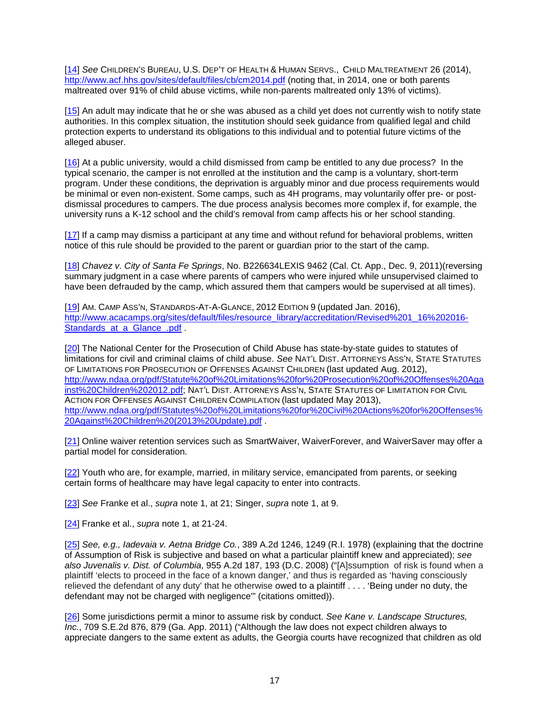[\[14\]](#page-3-3) *See* CHILDREN'S BUREAU, U.S. DEP'T OF HEALTH & HUMAN SERVS., CHILD MALTREATMENT 26 (2014), <http://www.acf.hhs.gov/sites/default/files/cb/cm2014.pdf> (noting that, in 2014, one or both parents maltreated over 91% of child abuse victims, while non-parents maltreated only 13% of victims).

<span id="page-16-0"></span>[\[15\]](#page-3-4) An adult may indicate that he or she was abused as a child yet does not currently wish to notify state authorities. In this complex situation, the institution should seek guidance from qualified legal and child protection experts to understand its obligations to this individual and to potential future victims of the alleged abuser.

<span id="page-16-1"></span>[\[16\]](#page-3-5) At a public university, would a child dismissed from camp be entitled to any due process? In the typical scenario, the camper is not enrolled at the institution and the camp is a voluntary, short-term program. Under these conditions, the deprivation is arguably minor and due process requirements would be minimal or even non-existent. Some camps, such as 4H programs, may voluntarily offer pre- or postdismissal procedures to campers. The due process analysis becomes more complex if, for example, the university runs a K-12 school and the child's removal from camp affects his or her school standing.

<span id="page-16-2"></span>[\[17\]](#page-4-0) If a camp may dismiss a participant at any time and without refund for behavioral problems, written notice of this rule should be provided to the parent or guardian prior to the start of the camp.

<span id="page-16-3"></span>[\[18\]](#page-4-1) *Chavez v. City of Santa Fe Springs*, No. B226634LEXIS 9462 (Cal. Ct. App., Dec. 9, 2011[\)\(reversing](http://(reversing/) summary judgment in a case where parents of campers who were injured while unsupervised claimed to have been defrauded by the camp, which assured them that campers would be supervised at all times).

<span id="page-16-4"></span>[\[19\]](#page-4-2) AM. CAMP ASS'N, STANDARDS-AT-A-GLANCE, 2012 EDITION 9 (updated Jan. 2016), [http://www.acacamps.org/sites/default/files/resource\\_library/accreditation/Revised%201\\_16%202016-](http://www.acacamps.org/sites/default/files/resource_library/accreditation/Revised%201_16%202016-Standards_at_a_Glance_.pdf) Standards at a Glance .pdf .

<span id="page-16-5"></span>[\[20\]](#page-5-0) The National Center for the Prosecution of Child Abuse has state-by-state guides to statutes of limitations for civil and criminal claims of child abuse. *See* NAT'L DIST. ATTORNEYS ASS'N, STATE STATUTES OF LIMITATIONS FOR PROSECUTION OF OFFENSES AGAINST CHILDREN (last updated Aug. 2012), [http://www.ndaa.org/pdf/Statute%20of%20Limitations%20for%20Prosecution%20of%20Offenses%20Aga](http://www.ndaa.org/pdf/Statute%20of%20Limitations%20for%20Prosecution%20of%20Offenses%20Against%20Children%202012.pdf) [inst%20Children%202012.pdf;](http://www.ndaa.org/pdf/Statute%20of%20Limitations%20for%20Prosecution%20of%20Offenses%20Against%20Children%202012.pdf) NAT'L DIST. ATTORNEYS ASS'N, STATE STATUTES OF LIMITATION FOR CIVIL ACTION FOR OFFENSES AGAINST CHILDREN COMPILATION (last updated May 2013), [http://www.ndaa.org/pdf/Statutes%20of%20Limitations%20for%20Civil%20Actions%20for%20Offenses%](http://www.ndaa.org/pdf/Statutes%20of%20Limitations%20for%20Civil%20Actions%20for%20Offenses%20Against%20Children%20(2013%20Update).pdf) [20Against%20Children%20\(2013%20Update\).pdf](http://www.ndaa.org/pdf/Statutes%20of%20Limitations%20for%20Civil%20Actions%20for%20Offenses%20Against%20Children%20(2013%20Update).pdf) .

<span id="page-16-6"></span>[\[21\]](#page-5-1) Online waiver retention services such as SmartWaiver, WaiverForever, and WaiverSaver may offer a partial model for consideration.

<span id="page-16-7"></span>[\[22\]](#page-5-2) Youth who are, for example, married, in military service, emancipated from parents, or seeking certain forms of healthcare may have legal capacity to enter into contracts.

<span id="page-16-8"></span>[\[23\]](#page-5-3) *See* Franke et al., *supra* note 1, at 21; Singer, *supra* note 1, at 9.

<span id="page-16-9"></span>[\[24\]](#page-5-4) Franke et al., *supra* note 1, at 21-24.

<span id="page-16-10"></span>[\[25\]](#page-5-5) *See, e.g., Iadevaia v. Aetna Bridge Co.*, 389 A.2d 1246, 1249 (R.I. 1978) (explaining that the doctrine of Assumption of Risk is subjective and based on what a particular plaintiff knew and appreciated); *see also Juvenalis v. Dist. of Columbia*, 955 A.2d 187, 193 (D.C. 2008) ("[A]ssumption of risk is found when a plaintiff 'elects to proceed in the face of a known danger,' and thus is regarded as 'having consciously relieved the defendant of any duty' that he otherwise owed to a plaintiff . . . . 'Being under no duty, the defendant may not be charged with negligence'" (citations omitted)).

<span id="page-16-11"></span>[\[26\]](#page-5-6) Some jurisdictions permit a minor to assume risk by conduct. *See Kane v. Landscape Structures, Inc.*, [709 S.E.2d 876, 879 \(Ga. App. 2011\)](http://www.lexisnexis.com.proxycu.wrlc.org/lnacui2api/mungo/lexseestat.do?bct=A&risb=21_T24317064957&homeCsi=6289&A=0.16519469670254572&urlEnc=ISO-8859-1&&citeString=309%20Ga.%20App.%2014,%2017&countryCode=USA) ("Although the law does not expect children always to appreciate dangers to the same extent as adults, the Georgia courts have recognized that children as old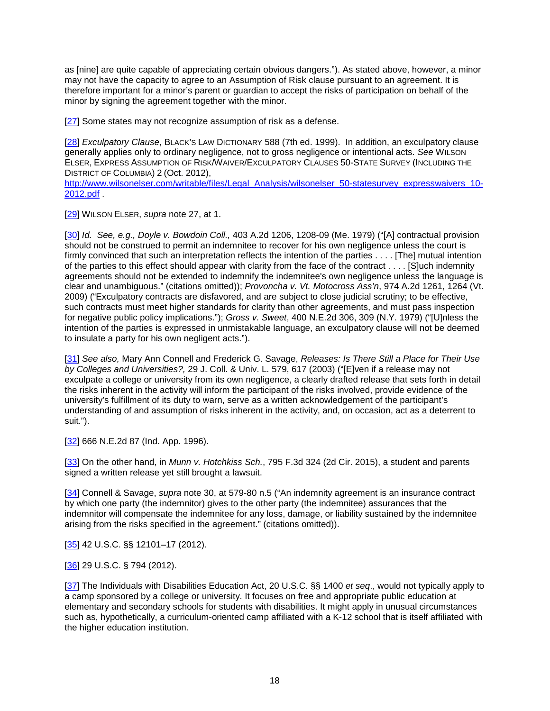as [nine] are quite capable of appreciating certain obvious dangers."). As stated above, however, a minor may not have the capacity to agree to an Assumption of Risk clause pursuant to an agreement. It is therefore important for a minor's parent or guardian to accept the risks of participation on behalf of the minor by signing the agreement together with the minor.

<span id="page-17-0"></span>[\[27\]](#page-5-7) Some states may not recognize assumption of risk as a defense.

<span id="page-17-1"></span>[\[28\]](#page-6-0) *Exculpatory Clause*, BLACK'S LAW DICTIONARY 588 (7th ed. 1999). In addition, an exculpatory clause generally applies only to ordinary negligence, not to gross negligence or intentional acts. *See* WILSON ELSER, EXPRESS ASSUMPTION OF RISK/WAIVER/EXCULPATORY CLAUSES 50-STATE SURVEY (INCLUDING THE DISTRICT OF COLUMBIA) 2 (Oct. 2012),

[http://www.wilsonelser.com/writable/files/Legal\\_Analysis/wilsonelser\\_50-statesurvey\\_expresswaivers\\_10-](http://www.wilsonelser.com/writable/files/Legal_Analysis/wilsonelser_50-statesurvey_expresswaivers_10-2012.pdf) [2012.pdf](http://www.wilsonelser.com/writable/files/Legal_Analysis/wilsonelser_50-statesurvey_expresswaivers_10-2012.pdf) .

<span id="page-17-2"></span>[\[29\]](#page-6-1) WILSON ELSER, *supra* note 27, at 1.

<span id="page-17-3"></span>[\[30\]](#page-6-2) *Id. See, e.g., Doyle v. Bowdoin Coll.,* 403 A.2d 1206, 1208-09 (Me. 1979) ("[A] contractual provision should not be construed to permit an indemnitee to recover for his own negligence unless the court is firmly convinced that such an interpretation reflects the intention of the parties . . . . [The] mutual intention of the parties to this effect should appear with clarity from the face of the contract . . . . [S]uch indemnity agreements should not be extended to indemnify the indemnitee's own negligence unless the language is clear and unambiguous." (citations omitted)); *Provoncha v. Vt. Motocross Ass'n*, 974 A.2d 1261, 1264 (Vt. 2009) ("Exculpatory contracts are disfavored, and are subject to close judicial scrutiny; to be effective, such contracts must meet higher standards for clarity than other agreements, and must pass inspection for negative public policy implications."); *Gross v. Sweet*, 400 N.E.2d 306, 309 (N.Y. 1979) ("[U]nless the intention of the parties is expressed in unmistakable language, an exculpatory clause will not be deemed to insulate a party for his own negligent acts.").

<span id="page-17-4"></span>[\[31\]](#page-6-3) *See also,* Mary Ann Connell and Frederick G. Savage, *Releases: Is There Still a Place for Their Use by Colleges and Universities?,* 29 J. Coll. & Univ. L. 579, 617 (2003) ("[E]ven if a release may not exculpate a college or university from its own negligence, a clearly drafted release that sets forth in detail the risks inherent in the activity will inform the participant of the risks involved, provide evidence of the university's fulfillment of its duty to warn, serve as a written acknowledgement of the participant's understanding of and assumption of risks inherent in the activity, and, on occasion, act as a deterrent to suit.").

<span id="page-17-5"></span>[\[32\]](#page-6-4) 666 N.E.2d 87 (Ind. App. 1996).

<span id="page-17-6"></span>[\[33\]](#page-6-5) On the other hand, in *Munn v. Hotchkiss Sch.*, 795 F.3d 324 (2d Cir. 2015), a student and parents signed a written release yet still brought a lawsuit.

<span id="page-17-7"></span>[\[34\]](#page-6-6) Connell & Savage, *supra* note 30, at 579-80 n.5 ("An indemnity agreement is an insurance contract by which one party (the indemnitor) gives to the other party (the indemnitee) assurances that the indemnitor will compensate the indemnitee for any loss, damage, or liability sustained by the indemnitee arising from the risks specified in the agreement." (citations omitted)).

<span id="page-17-8"></span>[\[35\]](#page-7-0) 42 U.S.C. §§ 12101–17 (2012).

<span id="page-17-9"></span>[\[36\]](#page-7-1) 29 U.S.C. § 794 (2012).

<span id="page-17-10"></span>[\[37\]](#page-7-2) The Individuals with Disabilities Education Act, 20 U.S.C. §§ 1400 *et seq*., would not typically apply to a camp sponsored by a college or university. It focuses on free and appropriate public education at elementary and secondary schools for students with disabilities. It might apply in unusual circumstances such as, hypothetically, a curriculum-oriented camp affiliated with a K-12 school that is itself affiliated with the higher education institution.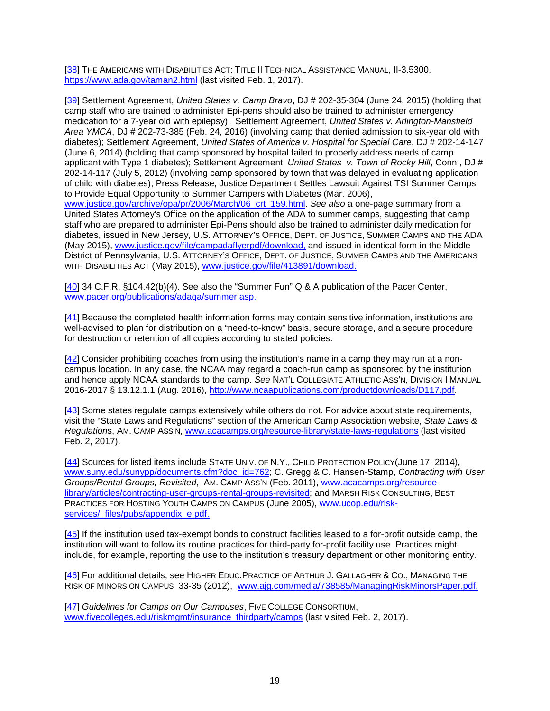<span id="page-18-0"></span>[\[38\]](#page-7-3) THE AMERICANS WITH DISABILITIES ACT: TITLE II TECHNICAL ASSISTANCE MANUAL, II-3.5300, <https://www.ada.gov/taman2.html> (last visited Feb. 1, 2017).

<span id="page-18-1"></span>[\[39\]](#page-7-4) Settlement Agreement, *United States v. Camp Bravo*, DJ # 202-35-304 (June 24, 2015) (holding that camp staff who are trained to administer Epi-pens should also be trained to administer emergency medication for a 7-year old with epilepsy); Settlement Agreement, *United States v. Arlington-Mansfield Area YMCA*, DJ # 202-73-385 (Feb. 24, 2016) (involving camp that denied admission to six-year old with diabetes); Settlement Agreement, *United States of America v. Hospital for Special Care*, DJ # 202-14-147 (June 6, 2014) (holding that camp sponsored by hospital failed to properly address needs of camp applicant with Type 1 diabetes); Settlement Agreement, *United States v. Town of Rocky Hill*, Conn., DJ # 202-14-117 (July 5, 2012) (involving camp sponsored by town that was delayed in evaluating application of child with diabetes); Press Release, Justice Department Settles Lawsuit Against TSI Summer Camps to Provide Equal Opportunity to Summer Campers with Diabetes (Mar. 2006), [www.justice.gov/archive/opa/pr/2006/March/06\\_crt\\_159.html.](http://www.justice.gov/archive/opa/pr/2006/March/06_crt_159.html) *See also* a one-page summary from a United States Attorney's Office on the application of the ADA to summer camps, suggesting that camp staff who are prepared to administer Epi-Pens should also be trained to administer daily medication for diabetes, issued in New Jersey, U.S. ATTORNEY'S OFFICE, DEPT. OF JUSTICE, SUMMER CAMPS AND THE ADA (May 2015), [www.justice.gov/file/campadaflyerpdf/download,](http://www.justice.gov/file/campadaflyerpdf/download) and issued in identical form in the Middle District of Pennsylvania, U.S. ATTORNEY'S OFFICE, DEPT. OF JUSTICE, SUMMER CAMPS AND THE AMERICANS

<span id="page-18-2"></span>[\[40\]](#page-8-0) 34 C.F.R. §104.42(b)(4). See also the "Summer Fun" Q & A publication of the Pacer Center, [www.pacer.org/publications/adaqa/summer.asp.](http://www.pacer.org/publications/adaqa/summer.asp)

WITH DISABILITIES ACT (May 2015), [www.justice.gov/file/413891/download.](http://www.justice.gov/file/413891/download)

<span id="page-18-3"></span>[\[41\]](#page-8-1) Because the completed health information forms may contain sensitive information, institutions are well-advised to plan for distribution on a "need-to-know" basis, secure storage, and a secure procedure for destruction or retention of all copies according to stated policies.

<span id="page-18-4"></span>[\[42\]](#page-8-2) Consider prohibiting coaches from using the institution's name in a camp they may run at a noncampus location. In any case, the NCAA may regard a coach-run camp as sponsored by the institution and hence apply NCAA standards to the camp. *See* NAT'L COLLEGIATE ATHLETIC ASS'N, DIVISION I MANUAL 2016-2017 § 13.12.1.1 (Aug. 2016), [http://www.ncaapublications.com/productdownloads/D117.pdf.](http://www.ncaapublications.com/productdownloads/D117.pdf)

<span id="page-18-5"></span>[\[43\]](#page-9-0) Some states regulate camps extensively while others do not. For advice about state requirements, visit the "State Laws and Regulations" section of the American Camp Association website, *State Laws & Regulation*s, AM. CAMP ASS'N, [www.acacamps.org/resource-library/state-laws-regulations](http://www.acacamps.org/resource-library/state-laws-regulations) (last visited Feb. 2, 2017).

<span id="page-18-6"></span>[\[44\]](#page-9-1) Sources for listed items include STATE UNIV. OF N.Y., CHILD PROTECTION POLICY(June 17, 2014), [www.suny.edu/sunypp/documents.cfm?doc\\_id=762;](http://www.suny.edu/sunypp/documents.cfm?doc_id=762) C. Gregg & C. Hansen-Stamp, *Contracting with User Groups/Rental Groups, Revisited*, AM. CAMP ASS'N (Feb. 2011), www.acacamps.org/resourcelibrary/articles/contracting-user-groups-rental-groups-revisited; and MARSH RISK CONSULTING, BEST PRACTICES FOR HOSTING YOUTH CAMPS ON CAMPUS (June 2005), [www.ucop.edu/risk](http://www.ucop.edu/risk-services/_files/pubs/appendix_e.pdf)[services/\\_files/pubs/appendix\\_e.pdf.](http://www.ucop.edu/risk-services/_files/pubs/appendix_e.pdf)

<span id="page-18-7"></span>[\[45\]](#page-9-2) If the institution used tax-exempt bonds to construct facilities leased to a for-profit outside camp, the institution will want to follow its routine practices for third-party for-profit facility use. Practices might include, for example, reporting the use to the institution's treasury department or other monitoring entity.

<span id="page-18-8"></span>[\[46\]](#page-9-3) For additional details, see HIGHER EDUC.PRACTICE OF ARTHUR J. GALLAGHER & CO., MANAGING THE RISK OF MINORS ON CAMPUS 33-35 (2012), [www.ajg.com/media/738585/ManagingRiskMinorsPaper.pdf.](http://www.ajg.com/media/738585/ManagingRiskMinorsPaper.pdf)

<span id="page-18-9"></span>[\[47\]](#page-10-0) *Guidelines for Camps on Our Campuses*, FIVE COLLEGE CONSORTIUM, [www.fivecolleges.edu/riskmgmt/insurance\\_thirdparty/camps](http://www.fivecolleges.edu/riskmgmt/insurance_thirdparty/camps) (last visited Feb. 2, 2017).